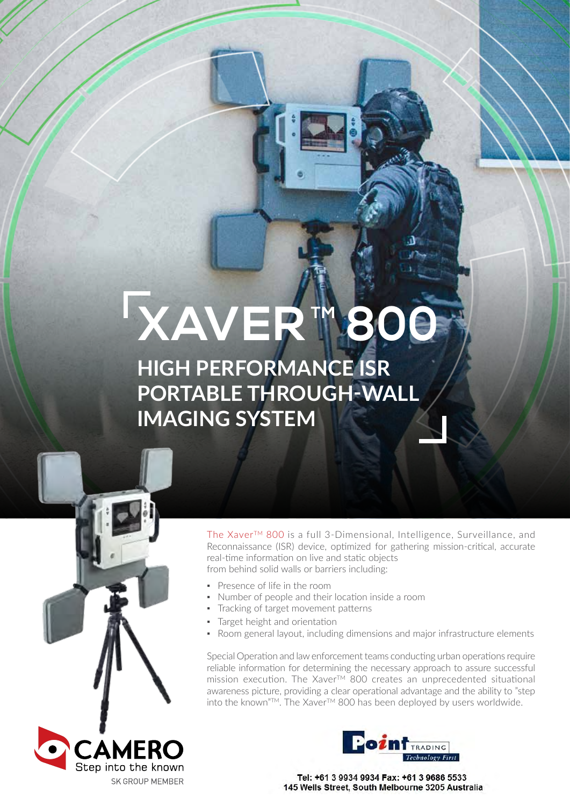# **XAVER 1800**

**HIGH PERFORMANCE ISR PORTABLE THROUGH-WALL IMAGING SYSTEM**



The Xaver<sup>™</sup> 800 is a full 3-Dimensional, Intelligence, Surveillance, and Reconnaissance (ISR) device, optimized for gathering mission-critical, accurate real-time information on live and static objects from behind solid walls or barriers including:

- Presence of life in the room
- Number of people and their location inside a room
- Tracking of target movement patterns
- Target height and orientation
- Room general layout, including dimensions and major infrastructure elements

Special Operation and law enforcement teams conducting urban operations require reliable information for determining the necessary approach to assure successful mission execution. The Xaver<sup>TM</sup> 800 creates an unprecedented situational awareness picture, providing a clear operational advantage and the ability to "step into the known"TM. The XaverTM 800 has been deployed by users worldwide.





Tel: +61 3 9934 9934 Fax: +61 3 9686 5533 145 Wells Street, South Melbourne 3205 Australia